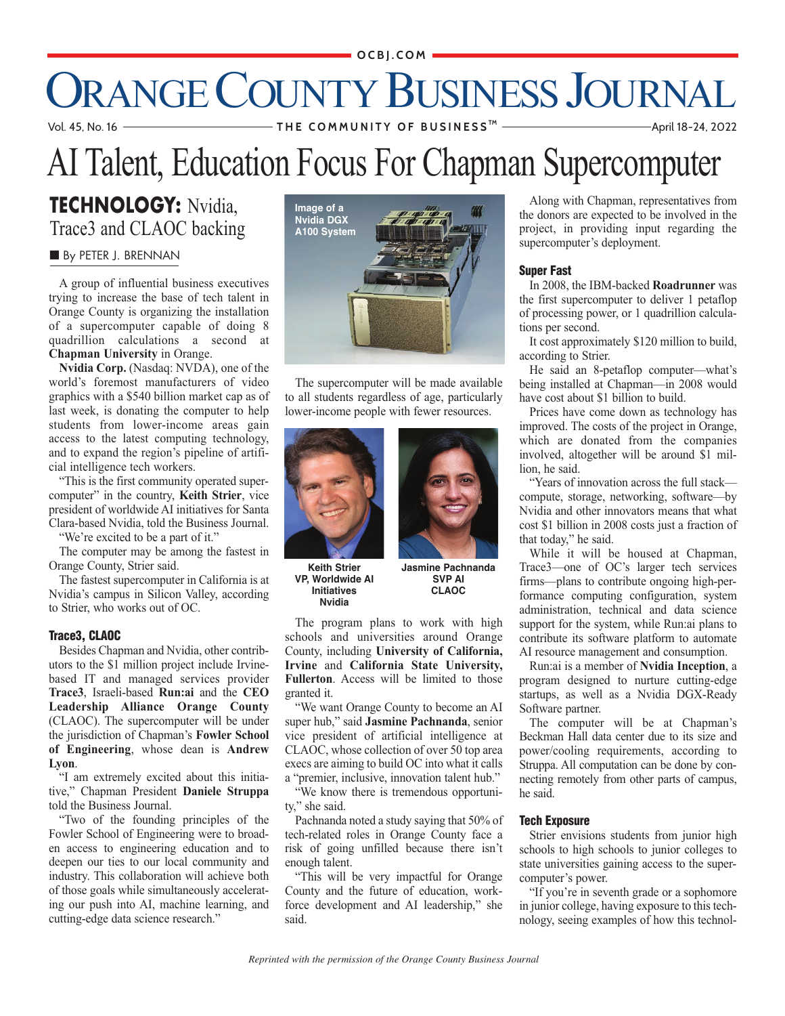#### **OCBJ.COM**

# ORANGE COUNTY BUSINESS JOURNAL

 Vol. 45, No. 16 **T H E C O M M U N I T Y O F B U S I N E S S** April 18-24, 2022 **TM**

### AI Talent, Education Focus For Chapman Supercomputer

### **TECHNOLOGY:** Nvidia, Trace3 and CLAOC backing

#### **By PETER J. BRENNAN**

A group of influential business executives trying to increase the base of tech talent in Orange County is organizing the installation of a supercomputer capable of doing 8 quadrillion calculations a second at **Chapman University** in Orange.

**Nvidia Corp.** (Nasdaq: NVDA), one of the world's foremost manufacturers of video graphics with a \$540 billion market cap as of last week, is donating the computer to help students from lower-income areas gain access to the latest computing technology, and to expand the region's pipeline of artificial intelligence tech workers.

"This is the first community operated supercomputer" in the country, **Keith Strier**, vice president of worldwide AI initiatives for Santa Clara-based Nvidia, told the Business Journal.

"We're excited to be a part of it."

The computer may be among the fastest in Orange County, Strier said.

The fastest supercomputer in California is at Nvidia's campus in Silicon Valley, according to Strier, who works out of OC.

#### **Trace3, CLAOC**

Besides Chapman and Nvidia, other contributors to the \$1 million project include Irvinebased IT and managed services provider **Trace3**, Israeli-based **Run:ai** and the **CEO Leadership Alliance Orange County** (CLAOC). The supercomputer will be under the jurisdiction of Chapman's **Fowler School of Engineering**, whose dean is **Andrew Lyon**.

"I am extremely excited about this initiative," Chapman President **Daniele Struppa** told the Business Journal.

"Two of the founding principles of the Fowler School of Engineering were to broaden access to engineering education and to deepen our ties to our local community and industry. This collaboration will achieve both of those goals while simultaneously accelerating our push into AI, machine learning, and cutting-edge data science research."



 to all students regardless of age, particularly The supercomputer will be made available lower-income people with fewer resources.





**Keith Strier VP, Worldwide AI Initiatives Nvidia** 

**Jasmine Pachnanda SVP AI CLAOC**

The program plans to work with high schools and universities around Orange County, including **University of California, Irvine** and **California State University, Fullerton**. Access will be limited to those granted it.

"We want Orange County to become an AI super hub," said **Jasmine Pachnanda**, senior vice president of artificial intelligence at CLAOC, whose collection of over 50 top area execs are aiming to build OC into what it calls a "premier, inclusive, innovation talent hub."

"We know there is tremendous opportunity," she said.

Pachnanda noted a study saying that 50% of tech-related roles in Orange County face a risk of going unfilled because there isn't enough talent.

"This will be very impactful for Orange County and the future of education, workforce development and AI leadership," she said.

Along with Chapman, representatives from the donors are expected to be involved in the project, in providing input regarding the supercomputer's deployment.

#### **Super Fast**

In 2008, the IBM-backed **Roadrunner** was the first supercomputer to deliver 1 petaflop of processing power, or 1 quadrillion calculations per second.

It cost approximately \$120 million to build, according to Strier.

He said an 8-petaflop computer—what's being installed at Chapman—in 2008 would have cost about \$1 billion to build.

Prices have come down as technology has improved. The costs of the project in Orange, which are donated from the companies involved, altogether will be around \$1 million, he said.

"Years of innovation across the full stack compute, storage, networking, software—by Nvidia and other innovators means that what cost \$1 billion in 2008 costs just a fraction of that today," he said.

While it will be housed at Chapman, Trace3—one of OC's larger tech services firms—plans to contribute ongoing high-performance computing configuration, system administration, technical and data science support for the system, while Run:ai plans to contribute its software platform to automate AI resource management and consumption.

Run:ai is a member of **Nvidia Inception**, a program designed to nurture cutting-edge startups, as well as a Nvidia DGX-Ready Software partner.

The computer will be at Chapman's Beckman Hall data center due to its size and power/cooling requirements, according to Struppa. All computation can be done by connecting remotely from other parts of campus, he said.

#### **Tech Exposure**

Strier envisions students from junior high schools to high schools to junior colleges to state universities gaining access to the supercomputer's power.

"If you're in seventh grade or a sophomore in junior college, having exposure to this technology, seeing examples of how this technol-